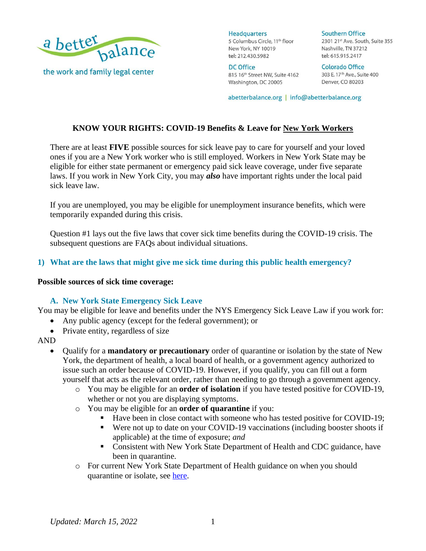

**DC Office** 815 16th Street NW, Suite 4162 Washington, DC 20005

**Southern Office** 2301 21st Ave. South, Suite 355 Nashville, TN 37212 tel: 615.915.2417

**Colorado Office** 303 E. 17th Ave., Suite 400 Denver, CO 80203

abetterbalance.org | info@abetterbalance.org

# **KNOW YOUR RIGHTS: COVID-19 Benefits & Leave for New York Workers**

There are at least **FIVE** possible sources for sick leave pay to care for yourself and your loved ones if you are a New York worker who is still employed. Workers in New York State may be eligible for either state permanent or emergency paid sick leave coverage, under five separate laws. If you work in New York City, you may *also* have important rights under the local paid sick leave law.

If you are unemployed, you may be eligible for unemployment insurance benefits, which were temporarily expanded during this crisis.

Question #1 lays out the five laws that cover sick time benefits during the COVID-19 crisis. The subsequent questions are FAQs about individual situations.

### **1) What are the laws that might give me sick time during this public health emergency?**

#### **Possible sources of sick time coverage:**

#### **A. New York State Emergency Sick Leave**

You may be eligible for leave and benefits under the NYS Emergency Sick Leave Law if you work for:

- Any public agency (except for the federal government); or
- Private entity, regardless of size

AND

- Qualify for a **mandatory or precautionary** order of quarantine or isolation by the state of New York, the department of health, a local board of health, or a government agency authorized to issue such an order because of COVID-19. However, if you qualify, you can fill out a form yourself that acts as the relevant order, rather than needing to go through a government agency.
	- o You may be eligible for an **order of isolation** if you have tested positive for COVID-19, whether or not you are displaying symptoms.
	- o You may be eligible for an **order of quarantine** if you:
		- Have been in close contact with someone who has tested positive for COVID-19;
		- Were not up to date on your COVID-19 vaccinations (including booster shoots if applicable) at the time of exposure; *and*
		- Consistent with New York State Department of Health and CDC guidance, have been in quarantine.
	- o For current New York State Department of Health guidance on when you should quarantine or isolate, see [here.](https://coronavirus.health.ny.gov/new-york-state-contact-tracing)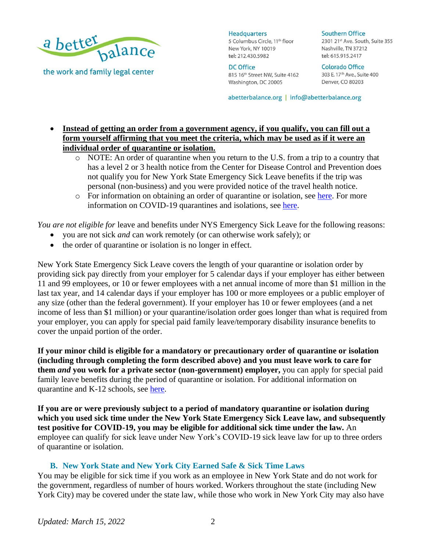

the work and family legal center

**Headquarters** 5 Columbus Circle, 11<sup>th</sup> floor New York, NY 10019 tel: 212.430.5982

**DC Office** 815 16th Street NW, Suite 4162 Washington, DC 20005

**Southern Office** 2301 21st Ave. South, Suite 355 Nashville, TN 37212 tel: 615.915.2417

**Colorado Office** 303 E. 17th Ave., Suite 400 Denver, CO 80203

abetterbalance.org | info@abetterbalance.org

# • **Instead of getting an order from a government agency, if you qualify, you can fill out a form yourself affirming that you meet the criteria, which may be used as if it were an individual order of quarantine or isolation.**

- o NOTE: An order of quarantine when you return to the U.S. from a trip to a country that has a level 2 or 3 health notice from the Center for Disease Control and Prevention does not qualify you for New York State Emergency Sick Leave benefits if the trip was personal (non-business) and you were provided notice of the travel health notice.
- o For information on obtaining an order of quarantine or isolation, see [here.](http://docs.paidfamilyleave.ny.gov/content/main/forms/PFLDocs/obtain-order-of-quarantine.pdf) For more information on COVID-19 quarantines and isolations, see [here.](https://coronavirus.health.ny.gov/new-york-state-contact-tracing)

*You are not eligible for* leave and benefits under NYS Emergency Sick Leave for the following reasons:

- you are not sick *and* can work remotely (or can otherwise work safely); or
- the order of quarantine or isolation is no longer in effect.

New York State Emergency Sick Leave covers the length of your quarantine or isolation order by providing sick pay directly from your employer for 5 calendar days if your employer has either between 11 and 99 employees, or 10 or fewer employees with a net annual income of more than \$1 million in the last tax year, and 14 calendar days if your employer has 100 or more employees or a public employer of any size (other than the federal government). If your employer has 10 or fewer employees (and a net income of less than \$1 million) or your quarantine/isolation order goes longer than what is required from your employer, you can apply for special paid family leave/temporary disability insurance benefits to cover the unpaid portion of the order.

**If your minor child is eligible for a mandatory or precautionary order of quarantine or isolation (including through completing the form described above) and you must leave work to care for them** *and* **you work for a private sector (non-government) employer,** you can apply for special paid family leave benefits during the period of quarantine or isolation. For additional information on quarantine and K-12 schools, see [here.](https://coronavirus.health.ny.gov/new-york-state-contact-tracing)

**If you are or were previously subject to a period of mandatory quarantine or isolation during which you used sick time under the New York State Emergency Sick Leave law, and subsequently test positive for COVID-19, you may be eligible for additional sick time under the law.** An employee can qualify for sick leave under New York's COVID-19 sick leave law for up to three orders of quarantine or isolation.

#### **B. New York State and New York City Earned Safe & Sick Time Laws**

You may be eligible for sick time if you work as an employee in New York State and do not work for the government, regardless of number of hours worked. Workers throughout the state (including New York City) may be covered under the state law, while those who work in New York City may also have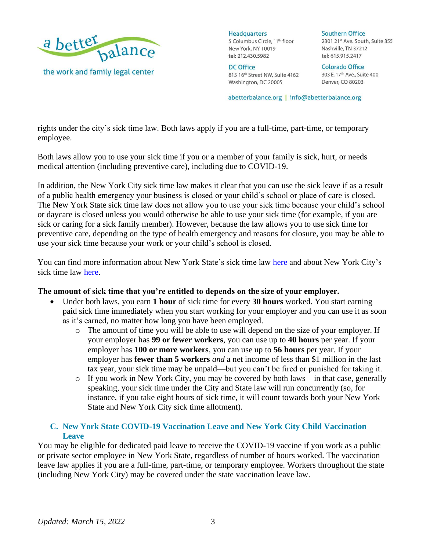

**DC Office** 815 16th Street NW, Suite 4162 Washington, DC 20005

**Southern Office** 2301 21st Ave. South, Suite 355 Nashville, TN 37212 tel: 615.915.2417

**Colorado Office** 303 E. 17th Ave., Suite 400 Denver, CO 80203

abetterbalance.org | info@abetterbalance.org

rights under the city's sick time law. Both laws apply if you are a full-time, part-time, or temporary employee.

Both laws allow you to use your sick time if you or a member of your family is sick, hurt, or needs medical attention (including preventive care), including due to COVID-19.

In addition, the New York City sick time law makes it clear that you can use the sick leave if as a result of a public health emergency your business is closed or your child's school or place of care is closed. The New York State sick time law does not allow you to use your sick time because your child's school or daycare is closed unless you would otherwise be able to use your sick time (for example, if you are sick or caring for a sick family member). However, because the law allows you to use sick time for preventive care, depending on the type of health emergency and reasons for closure, you may be able to use your sick time because your work or your child's school is closed.

You can find more information about New York State's sick time law [here](https://www.abetterbalance.org/resources/know-your-rights-new-york-state-paid-sick-time/) and about New York City's sick time law [here.](https://www.abetterbalance.org/resources/know-your-rights-new-york-city-paid-sick-time/)

#### **The amount of sick time that you're entitled to depends on the size of your employer.**

- Under both laws, you earn **1 hour** of sick time for every **30 hours** worked. You start earning paid sick time immediately when you start working for your employer and you can use it as soon as it's earned, no matter how long you have been employed.
	- o The amount of time you will be able to use will depend on the size of your employer. If your employer has **99 or fewer workers**, you can use up to **40 hours** per year. If your employer has **100 or more workers**, you can use up to **56 hours** per year. If your employer has **fewer than 5 workers** *and* a net income of less than \$1 million in the last tax year, your sick time may be unpaid—but you can't be fired or punished for taking it.
	- o If you work in New York City, you may be covered by both laws—in that case, generally speaking, your sick time under the City and State law will run concurrently (so, for instance, if you take eight hours of sick time, it will count towards both your New York State and New York City sick time allotment).

### **C. New York State COVID-19 Vaccination Leave and New York City Child Vaccination Leave**

You may be eligible for dedicated paid leave to receive the COVID-19 vaccine if you work as a public or private sector employee in New York State, regardless of number of hours worked. The vaccination leave law applies if you are a full-time, part-time, or temporary employee. Workers throughout the state (including New York City) may be covered under the state vaccination leave law.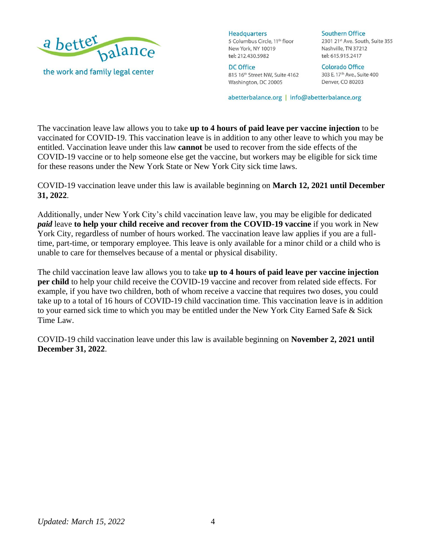

**DC Office** 815 16th Street NW, Suite 4162 Washington, DC 20005

**Southern Office** 2301 21st Ave. South, Suite 355 Nashville, TN 37212 tel: 615.915.2417

**Colorado Office** 303 E. 17th Ave., Suite 400 Denver, CO 80203

abetterbalance.org | info@abetterbalance.org

The vaccination leave law allows you to take **up to 4 hours of paid leave per vaccine injection** to be vaccinated for COVID-19. This vaccination leave is in addition to any other leave to which you may be entitled. Vaccination leave under this law **cannot** be used to recover from the side effects of the COVID-19 vaccine or to help someone else get the vaccine, but workers may be eligible for sick time for these reasons under the New York State or New York City sick time laws.

COVID-19 vaccination leave under this law is available beginning on **March 12, 2021 until December 31, 2022**.

Additionally, under New York City's child vaccination leave law, you may be eligible for dedicated *paid* leave **to help your child receive and recover from the COVID-19 vaccine** if you work in New York City, regardless of number of hours worked. The vaccination leave law applies if you are a fulltime, part-time, or temporary employee. This leave is only available for a minor child or a child who is unable to care for themselves because of a mental or physical disability.

The child vaccination leave law allows you to take **up to 4 hours of paid leave per vaccine injection per child** to help your child receive the COVID-19 vaccine and recover from related side effects. For example, if you have two children, both of whom receive a vaccine that requires two doses, you could take up to a total of 16 hours of COVID-19 child vaccination time. This vaccination leave is in addition to your earned sick time to which you may be entitled under the New York City Earned Safe & Sick Time Law.

COVID-19 child vaccination leave under this law is available beginning on **November 2, 2021 until December 31, 2022**.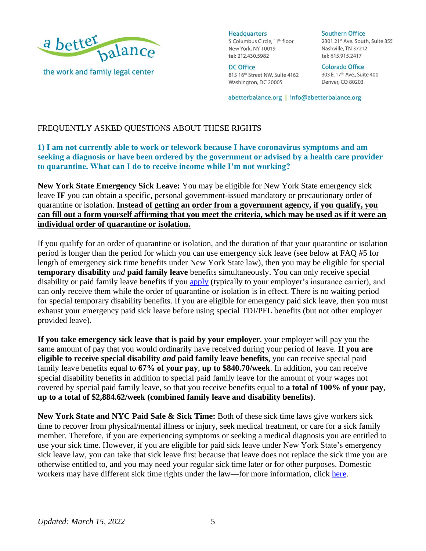

**DC Office** 815 16th Street NW, Suite 4162 Washington, DC 20005

**Southern Office** 2301 21st Ave. South, Suite 355 Nashville, TN 37212 tel: 615.915.2417

**Colorado Office** 303 E. 17th Ave., Suite 400 Denver, CO 80203

abetterbalance.org | info@abetterbalance.org

# FREQUENTLY ASKED QUESTIONS ABOUT THESE RIGHTS

# **1) I am not currently able to work or telework because I have coronavirus symptoms and am seeking a diagnosis or have been ordered by the government or advised by a health care provider to quarantine. What can I do to receive income while I'm not working?**

**New York State Emergency Sick Leave:** You may be eligible for New York State emergency sick leave **IF** you can obtain a specific, personal government-issued mandatory or precautionary order of quarantine or isolation. **Instead of getting an order from a government agency, if you qualify, you can fill out a form yourself affirming that you meet the criteria, which may be used as if it were an individual order of quarantine or isolation.**

If you qualify for an order of quarantine or isolation, and the duration of that your quarantine or isolation period is longer than the period for which you can use emergency sick leave (see below at FAQ #5 for length of emergency sick time benefits under New York State law), then you may be eligible for special **temporary disability** *and* **paid family leave** benefits simultaneously. You can only receive special disability or paid family leave benefits if you [apply](https://paidfamilyleave.ny.gov/new-york-paid-family-leave-covid-19-faqs) (typically to your employer's insurance carrier), and can only receive them while the order of quarantine or isolation is in effect. There is no waiting period for special temporary disability benefits. If you are eligible for emergency paid sick leave, then you must exhaust your emergency paid sick leave before using special TDI/PFL benefits (but not other employer provided leave).

**If you take emergency sick leave that is paid by your employer**, your employer will pay you the same amount of pay that you would ordinarily have received during your period of leave. **If you are eligible to receive special disability** *and* **paid family leave benefits**, you can receive special paid family leave benefits equal to **67% of your pay**, **up to \$840.70/week**. In addition, you can receive special disability benefits in addition to special paid family leave for the amount of your wages not covered by special paid family leave, so that you receive benefits equal to **a total of 100% of your pay**, **up to a total of \$2,884.62/week (combined family leave and disability benefits)**.

**New York State and NYC Paid Safe & Sick Time:** Both of these sick time laws give workers sick time to recover from physical/mental illness or injury, seek medical treatment, or care for a sick family member. Therefore, if you are experiencing symptoms or seeking a medical diagnosis you are entitled to use your sick time. However, if you are eligible for paid sick leave under New York State's emergency sick leave law, you can take that sick leave first because that leave does not replace the sick time you are otherwise entitled to, and you may need your regular sick time later or for other purposes. Domestic workers may have different sick time rights under the law—for more information, click [here.](https://www.abetterbalance.org/resources/know-your-rights-covid-19-benefits-leave-for-new-york-domestic-workers/)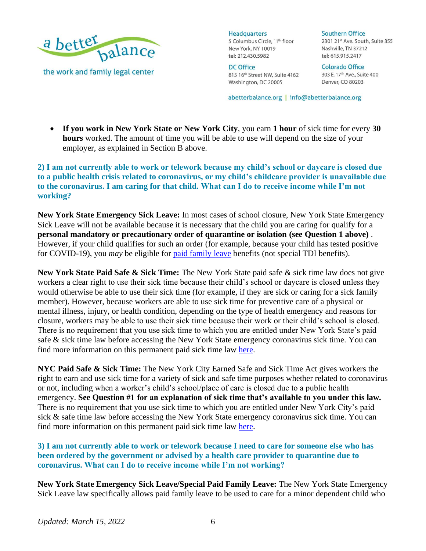

**DC Office** 815 16th Street NW, Suite 4162 Washington, DC 20005

**Southern Office** 2301 21st Ave. South, Suite 355 Nashville, TN 37212 tel: 615.915.2417

**Colorado Office** 303 E. 17th Ave., Suite 400 Denver, CO 80203

abetterbalance.org | info@abetterbalance.org

• **If you work in New York State or New York City**, you earn **1 hour** of sick time for every **30 hours** worked. The amount of time you will be able to use will depend on the size of your employer, as explained in Section B above.

## **2) I am not currently able to work or telework because my child's school or daycare is closed due to a public health crisis related to coronavirus, or my child's childcare provider is unavailable due to the coronavirus. I am caring for that child. What can I do to receive income while I'm not working?**

**New York State Emergency Sick Leave:** In most cases of school closure, New York State Emergency Sick Leave will not be available because it is necessary that the child you are caring for qualify for a **personal mandatory or precautionary order of quarantine or isolation (see Question 1 above)** . However, if your child qualifies for such an order (for example, because your child has tested positive for COVID-19), you *may* be eligible for [paid family leave](https://paidfamilyleave.ny.gov/paid-family-leave-family-care) benefits (not special TDI benefits).

**New York State Paid Safe & Sick Time:** The New York State paid safe & sick time law does not give workers a clear right to use their sick time because their child's school or daycare is closed unless they would otherwise be able to use their sick time (for example, if they are sick or caring for a sick family member). However, because workers are able to use sick time for preventive care of a physical or mental illness, injury, or health condition, depending on the type of health emergency and reasons for closure, workers may be able to use their sick time because their work or their child's school is closed. There is no requirement that you use sick time to which you are entitled under New York State's paid safe & sick time law before accessing the New York State emergency coronavirus sick time. You can find more information on this permanent paid sick time law [here.](https://www.abetterbalance.org/resources/know-your-rights-new-york-state-paid-sick-time/)

**NYC Paid Safe & Sick Time:** The New York City Earned Safe and Sick Time Act gives workers the right to earn and use sick time for a variety of sick and safe time purposes whether related to coronavirus or not, including when a worker's child's school/place of care is closed due to a public health emergency. **See Question #1 for an explanation of sick time that's available to you under this law.**  There is no requirement that you use sick time to which you are entitled under New York City's paid sick & safe time law before accessing the New York State emergency coronavirus sick time. You can find more information on this permanent paid sick time law [here.](https://www.abetterbalance.org/resources/know-your-rights-new-york-city-paid-sick-time/)

**3) I am not currently able to work or telework because I need to care for someone else who has been ordered by the government or advised by a health care provider to quarantine due to coronavirus. What can I do to receive income while I'm not working?**

**New York State Emergency Sick Leave/Special Paid Family Leave:** The New York State Emergency Sick Leave law specifically allows paid family leave to be used to care for a minor dependent child who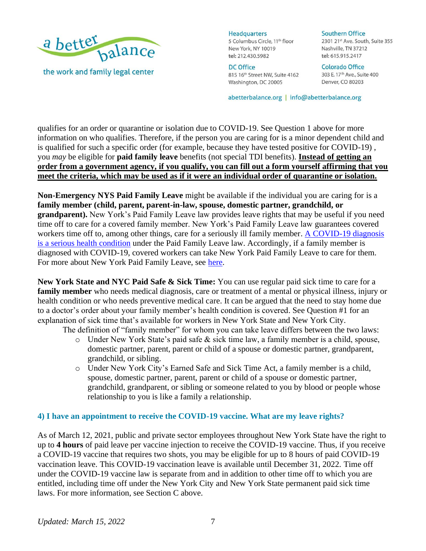

**DC Office** 815 16th Street NW, Suite 4162 Washington, DC 20005

**Southern Office** 2301 21st Ave. South, Suite 355 Nashville, TN 37212 tel: 615.915.2417

**Colorado Office** 303 E. 17th Ave., Suite 400 Denver, CO 80203

abetterbalance.org | info@abetterbalance.org

qualifies for an order or quarantine or isolation due to COVID-19. See Question 1 above for more information on who qualifies. Therefore, if the person you are caring for is a minor dependent child and is qualified for such a specific order (for example, because they have tested positive for COVID-19) , you *may* be eligible for **paid family leave** benefits (not special TDI benefits). **Instead of getting an order from a government agency, if you qualify, you can fill out a form yourself affirming that you meet the criteria, which may be used as if it were an individual order of quarantine or isolation.**

**Non-Emergency NYS Paid Family Leave** might be available if the individual you are caring for is a **family member (child, parent, parent-in-law, spouse, domestic partner, grandchild, or grandparent).** New York's Paid Family Leave law provides leave rights that may be useful if you need time off to care for a covered family member. New York's Paid Family Leave law guarantees covered workers time off to, among other things, care for a seriously ill family member. A COVID-19 diagnosis [is a serious health condition](http://www.wcb.ny.gov/content/main/wclaws/Covid-19SeriousHealthCondition/) under the Paid Family Leave law. Accordingly, if a family member is diagnosed with COVID-19, covered workers can take New York Paid Family Leave to care for them. For more about New York Paid Family Leave, see [here.](https://www.abetterbalance.org/family-leave-works-new-york/)

**New York State and NYC Paid Safe & Sick Time:** You can use regular paid sick time to care for a **family member** who needs medical diagnosis, care or treatment of a mental or physical illness, injury or health condition or who needs preventive medical care. It can be argued that the need to stay home due to a doctor's order about your family member's health condition is covered. See Question #1 for an explanation of sick time that's available for workers in New York State and New York City.

The definition of "family member" for whom you can take leave differs between the two laws:

- o Under New York State's paid safe & sick time law, a family member is a child, spouse, domestic partner, parent, parent or child of a spouse or domestic partner, grandparent, grandchild, or sibling.
- o Under New York City's Earned Safe and Sick Time Act, a family member is a child, spouse, domestic partner, parent, parent or child of a spouse or domestic partner, grandchild, grandparent, or sibling or someone related to you by blood or people whose relationship to you is like a family a relationship.

#### **4) I have an appointment to receive the COVID-19 vaccine. What are my leave rights?**

As of March 12, 2021, public and private sector employees throughout New York State have the right to up to **4 hours** of paid leave per vaccine injection to receive the COVID-19 vaccine. Thus, if you receive a COVID-19 vaccine that requires two shots, you may be eligible for up to 8 hours of paid COVID-19 vaccination leave. This COVID-19 vaccination leave is available until December 31, 2022. Time off under the COVID-19 vaccine law is separate from and in addition to other time off to which you are entitled, including time off under the New York City and New York State permanent paid sick time laws. For more information, see Section C above.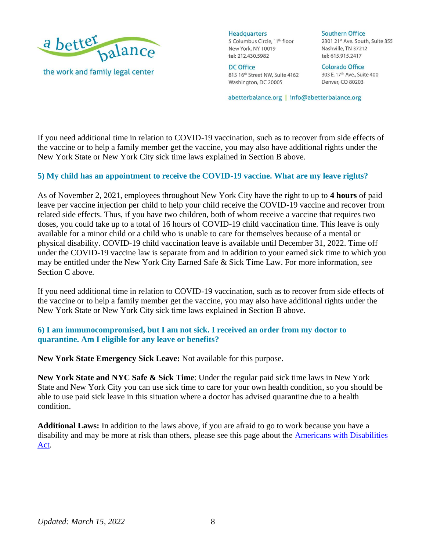

DC Office 815 16th Street NW, Suite 4162 Washington, DC 20005

**Southern Office** 2301 21st Ave. South, Suite 355 Nashville, TN 37212 tel: 615.915.2417

**Colorado Office** 303 E. 17th Ave., Suite 400 Denver, CO 80203

abetterbalance.org | info@abetterbalance.org

If you need additional time in relation to COVID-19 vaccination, such as to recover from side effects of the vaccine or to help a family member get the vaccine, you may also have additional rights under the New York State or New York City sick time laws explained in Section B above.

### **5) My child has an appointment to receive the COVID-19 vaccine. What are my leave rights?**

As of November 2, 2021, employees throughout New York City have the right to up to **4 hours** of paid leave per vaccine injection per child to help your child receive the COVID-19 vaccine and recover from related side effects. Thus, if you have two children, both of whom receive a vaccine that requires two doses, you could take up to a total of 16 hours of COVID-19 child vaccination time. This leave is only available for a minor child or a child who is unable to care for themselves because of a mental or physical disability. COVID-19 child vaccination leave is available until December 31, 2022. Time off under the COVID-19 vaccine law is separate from and in addition to your earned sick time to which you may be entitled under the New York City Earned Safe & Sick Time Law. For more information, see Section C above.

If you need additional time in relation to COVID-19 vaccination, such as to recover from side effects of the vaccine or to help a family member get the vaccine, you may also have additional rights under the New York State or New York City sick time laws explained in Section B above.

### **6) I am immunocompromised, but I am not sick. I received an order from my doctor to quarantine. Am I eligible for any leave or benefits?**

**New York State Emergency Sick Leave:** Not available for this purpose.

**New York State and NYC Safe & Sick Time**: Under the regular paid sick time laws in New York State and New York City you can use sick time to care for your own health condition, so you should be able to use paid sick leave in this situation where a doctor has advised quarantine due to a health condition.

**Additional Laws:** In addition to the laws above, if you are afraid to go to work because you have a disability and may be more at risk than others, please see this page about the **Americans with Disabilities** [Act.](https://www.abetterbalance.org/eeoc-issues-guidance-for-the-ada-pandemic-preparations-in-the-workplace/)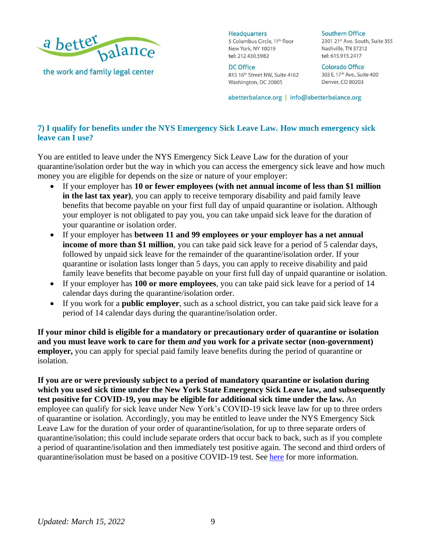

**DC Office** 815 16th Street NW, Suite 4162 Washington, DC 20005

**Southern Office** 2301 21st Ave. South, Suite 355 Nashville, TN 37212 tel: 615.915.2417

**Colorado Office** 303 E. 17th Ave., Suite 400 Denver, CO 80203

abetterbalance.org | info@abetterbalance.org

# **7) I qualify for benefits under the NYS Emergency Sick Leave Law. How much emergency sick leave can I use?**

You are entitled to leave under the NYS Emergency Sick Leave Law for the duration of your quarantine/isolation order but the way in which you can access the emergency sick leave and how much money you are eligible for depends on the size or nature of your employer:

- If your employer has **10 or fewer employees (with net annual income of less than \$1 million in the last tax year)**, you can apply to receive temporary disability and paid family leave benefits that become payable on your first full day of unpaid quarantine or isolation. Although your employer is not obligated to pay you, you can take unpaid sick leave for the duration of your quarantine or isolation order.
- If your employer has **between 11 and 99 employees or your employer has a net annual income of more than \$1 million**, you can take paid sick leave for a period of 5 calendar days, followed by unpaid sick leave for the remainder of the quarantine/isolation order. If your quarantine or isolation lasts longer than 5 days, you can apply to receive disability and paid family leave benefits that become payable on your first full day of unpaid quarantine or isolation.
- If your employer has **100 or more employees**, you can take paid sick leave for a period of 14 calendar days during the quarantine/isolation order.
- If you work for a **public employer**, such as a school district, you can take paid sick leave for a period of 14 calendar days during the quarantine/isolation order.

**If your minor child is eligible for a mandatory or precautionary order of quarantine or isolation and you must leave work to care for them** *and* **you work for a private sector (non-government) employer,** you can apply for special paid family leave benefits during the period of quarantine or isolation.

**If you are or were previously subject to a period of mandatory quarantine or isolation during which you used sick time under the New York State Emergency Sick Leave law, and subsequently test positive for COVID-19, you may be eligible for additional sick time under the law.** An employee can qualify for sick leave under New York's COVID-19 sick leave law for up to three orders of quarantine or isolation. Accordingly, you may be entitled to leave under the NYS Emergency Sick Leave Law for the duration of your order of quarantine/isolation, for up to three separate orders of quarantine/isolation; this could include separate orders that occur back to back, such as if you complete a period of quarantine/isolation and then immediately test positive again. The second and third orders of quarantine/isolation must be based on a positive COVID-19 test. See [here](https://dol.ny.gov/system/files/documents/2021/01/covid-19-sick-leave-guidance_1.pdf) for more information.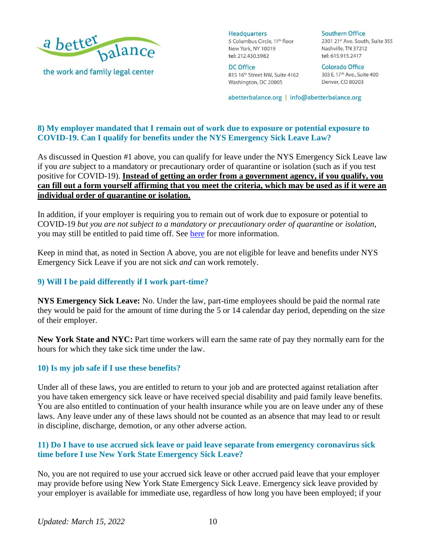

**DC Office** 815 16th Street NW, Suite 4162 Washington, DC 20005

**Southern Office** 2301 21st Ave. South, Suite 355 Nashville, TN 37212 tel: 615.915.2417

**Colorado Office** 303 E. 17th Ave., Suite 400 Denver, CO 80203

abetterbalance.org | info@abetterbalance.org

# **8) My employer mandated that I remain out of work due to exposure or potential exposure to COVID-19. Can I qualify for benefits under the NYS Emergency Sick Leave Law?**

As discussed in Question #1 above, you can qualify for leave under the NYS Emergency Sick Leave law if you *are* subject to a mandatory or precautionary order of quarantine or isolation (such as if you test positive for COVID-19). **Instead of getting an order from a government agency, if you qualify, you can fill out a form yourself affirming that you meet the criteria, which may be used as if it were an individual order of quarantine or isolation.**

In addition, if your employer is requiring you to remain out of work due to exposure or potential to COVID-19 *but you are not subject to a mandatory or precautionary order of quarantine or isolation*, you may still be entitled to paid time off. See [here](https://dol.ny.gov/system/files/documents/2021/01/covid-19-sick-leave-guidance_1.pdf) for more information.

Keep in mind that, as noted in Section A above, you are not eligible for leave and benefits under NYS Emergency Sick Leave if you are not sick *and* can work remotely.

# **9) Will I be paid differently if I work part-time?**

**NYS Emergency Sick Leave:** No. Under the law, part-time employees should be paid the normal rate they would be paid for the amount of time during the 5 or 14 calendar day period, depending on the size of their employer.

**New York State and NYC:** Part time workers will earn the same rate of pay they normally earn for the hours for which they take sick time under the law.

#### **10) Is my job safe if I use these benefits?**

Under all of these laws, you are entitled to return to your job and are protected against retaliation after you have taken emergency sick leave or have received special disability and paid family leave benefits. You are also entitled to continuation of your health insurance while you are on leave under any of these laws. Any leave under any of these laws should not be counted as an absence that may lead to or result in discipline, discharge, demotion, or any other adverse action.

### **11) Do I have to use accrued sick leave or paid leave separate from emergency coronavirus sick time before I use New York State Emergency Sick Leave?**

No, you are not required to use your accrued sick leave or other accrued paid leave that your employer may provide before using New York State Emergency Sick Leave. Emergency sick leave provided by your employer is available for immediate use, regardless of how long you have been employed; if your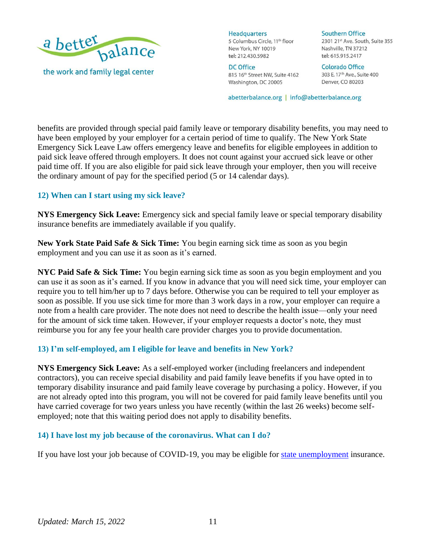

**DC Office** 815 16th Street NW, Suite 4162 Washington, DC 20005

**Southern Office** 2301 21st Ave. South, Suite 355 Nashville, TN 37212 tel: 615.915.2417

**Colorado Office** 303 E. 17th Ave., Suite 400 Denver, CO 80203

abetterbalance.org | info@abetterbalance.org

benefits are provided through special paid family leave or temporary disability benefits, you may need to have been employed by your employer for a certain period of time to qualify. The New York State Emergency Sick Leave Law offers emergency leave and benefits for eligible employees in addition to paid sick leave offered through employers. It does not count against your accrued sick leave or other paid time off. If you are also eligible for paid sick leave through your employer, then you will receive the ordinary amount of pay for the specified period (5 or 14 calendar days).

### **12) When can I start using my sick leave?**

**NYS Emergency Sick Leave:** Emergency sick and special family leave or special temporary disability insurance benefits are immediately available if you qualify.

**New York State Paid Safe & Sick Time:** You begin earning sick time as soon as you begin employment and you can use it as soon as it's earned.

**NYC Paid Safe & Sick Time:** You begin earning sick time as soon as you begin employment and you can use it as soon as it's earned. If you know in advance that you will need sick time, your employer can require you to tell him/her up to 7 days before. Otherwise you can be required to tell your employer as soon as possible. If you use sick time for more than 3 work days in a row, your employer can require a note from a health care provider. The note does not need to describe the health issue—only your need for the amount of sick time taken. However, if your employer requests a doctor's note, they must reimburse you for any fee your health care provider charges you to provide documentation.

# **13) I'm self-employed, am I eligible for leave and benefits in New York?**

**NYS Emergency Sick Leave:** As a self-employed worker (including freelancers and independent contractors), you can receive special disability and paid family leave benefits if you have opted in to temporary disability insurance and paid family leave coverage by purchasing a policy. However, if you are not already opted into this program, you will not be covered for paid family leave benefits until you have carried coverage for two years unless you have recently (within the last 26 weeks) become selfemployed; note that this waiting period does not apply to disability benefits.

#### **14) I have lost my job because of the coronavirus. What can I do?**

If you have lost your job because of COVID-19, you may be eligible for [state unemployment](https://labor.ny.gov/unemploymentassistance.shtm) insurance.